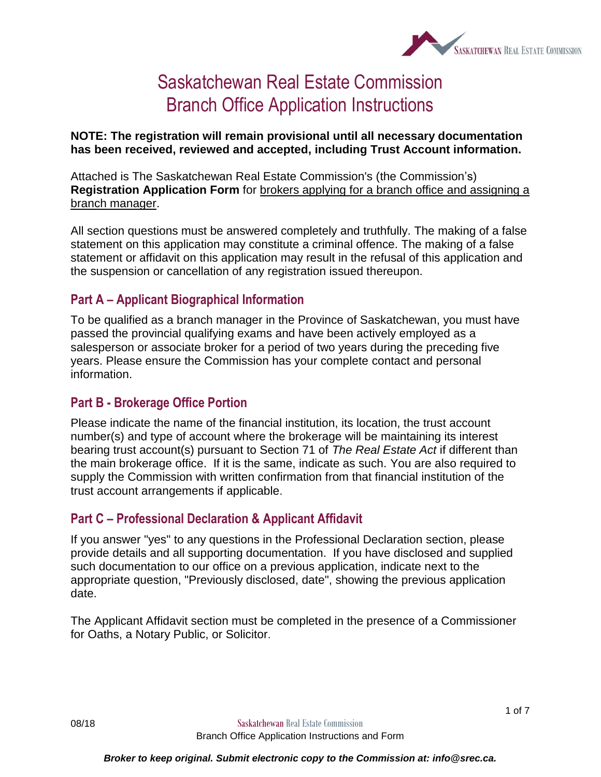

# Saskatchewan Real Estate Commission Branch Office Application Instructions

#### **NOTE: The registration will remain provisional until all necessary documentation has been received, reviewed and accepted, including Trust Account information.**

Attached is The Saskatchewan Real Estate Commission's (the Commission's) **Registration Application Form** for brokers applying for a branch office and assigning a branch manager.

All section questions must be answered completely and truthfully. The making of a false statement on this application may constitute a criminal offence. The making of a false statement or affidavit on this application may result in the refusal of this application and the suspension or cancellation of any registration issued thereupon.

### **Part A – Applicant Biographical Information**

To be qualified as a branch manager in the Province of Saskatchewan, you must have passed the provincial qualifying exams and have been actively employed as a salesperson or associate broker for a period of two years during the preceding five years. Please ensure the Commission has your complete contact and personal information.

#### **Part B - Brokerage Office Portion**

Please indicate the name of the financial institution, its location, the trust account number(s) and type of account where the brokerage will be maintaining its interest bearing trust account(s) pursuant to Section 71 of *The Real Estate Act* if different than the main brokerage office. If it is the same, indicate as such. You are also required to supply the Commission with written confirmation from that financial institution of the trust account arrangements if applicable.

#### **Part C – Professional Declaration & Applicant Affidavit**

If you answer "yes" to any questions in the Professional Declaration section, please provide details and all supporting documentation. If you have disclosed and supplied such documentation to our office on a previous application, indicate next to the appropriate question, "Previously disclosed, date", showing the previous application date.

The Applicant Affidavit section must be completed in the presence of a Commissioner for Oaths, a Notary Public, or Solicitor.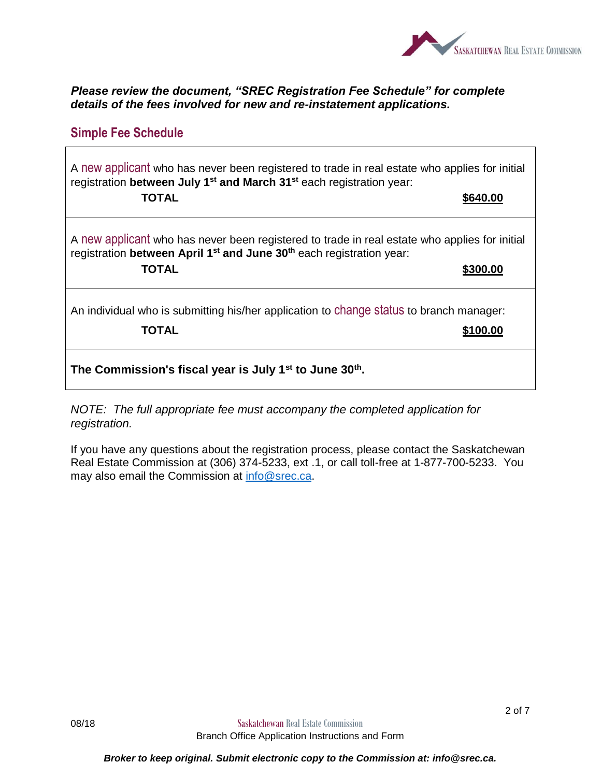

*Please review the document, "SREC Registration Fee Schedule" for complete details of the fees involved for new and re-instatement applications.*

| <b>Simple Fee Schedule</b> |  |  |
|----------------------------|--|--|
|----------------------------|--|--|

A new applicant who has never been registered to trade in real estate who applies for initial registration **between July 1st and March 31st** each registration year: **TOTAL** \$640.00

A new applicant who has never been registered to trade in real estate who applies for initial registration **between April 1st and June 30th** each registration year:

**TOTAL \$300.00** 

An individual who is submitting his/her application to change status to branch manager:

**TOTAL \$100.00**

**The Commission's fiscal year is July 1st to June 30th .**

*NOTE: The full appropriate fee must accompany the completed application for registration.*

If you have any questions about the registration process, please contact the Saskatchewan Real Estate Commission at (306) 374-5233, ext .1, or call toll-free at 1-877-700-5233. You may also email the Commission at [info@srec.ca.](mailto:info@srec.ca)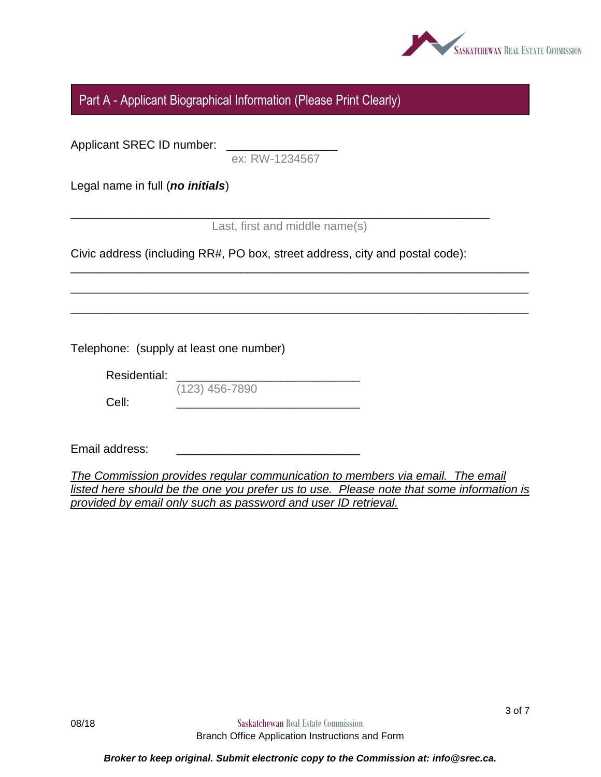

### Part A - Applicant Biographical Information (Please Print Clearly)

Applicant SREC ID number:

ex: RW-1234567

Legal name in full (*no initials*)

Last, first and middle name(s)

\_\_\_\_\_\_\_\_\_\_\_\_\_\_\_\_\_\_\_\_\_\_\_\_\_\_\_\_\_\_\_\_\_\_\_\_\_\_\_\_\_\_\_\_\_\_\_\_\_\_\_\_\_\_\_\_\_\_\_\_\_\_\_\_\_\_\_\_\_\_

\_\_\_\_\_\_\_\_\_\_\_\_\_\_\_\_\_\_\_\_\_\_\_\_\_\_\_\_\_\_\_\_\_\_\_\_\_\_\_\_\_\_\_\_\_\_\_\_\_\_\_\_\_\_\_\_\_\_\_\_\_\_\_\_\_\_\_\_\_\_

\_\_\_\_\_\_\_\_\_\_\_\_\_\_\_\_\_\_\_\_\_\_\_\_\_\_\_\_\_\_\_\_\_\_\_\_\_\_\_\_\_\_\_\_\_\_\_\_\_\_\_\_\_\_\_\_\_\_\_\_\_\_\_\_\_\_\_\_\_\_

\_\_\_\_\_\_\_\_\_\_\_\_\_\_\_\_\_\_\_\_\_\_\_\_\_\_\_\_\_\_\_\_\_\_\_\_\_\_\_\_\_\_\_\_\_\_\_\_\_\_\_\_\_\_\_\_\_\_\_\_\_\_\_\_

Civic address (including RR#, PO box, street address, city and postal code):

Telephone: (supply at least one number)

| Residential: |                  |
|--------------|------------------|
|              | $(123)$ 456-7890 |
| Cell:        |                  |

Email address:

*The Commission provides regular communication to members via email. The email listed here should be the one you prefer us to use. Please note that some information is provided by email only such as password and user ID retrieval.*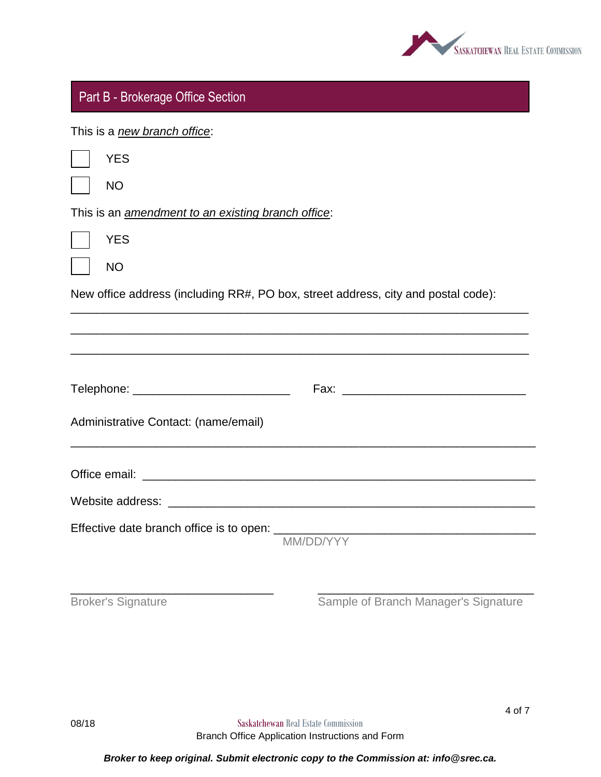

| Part B - Brokerage Office Section                                                 |  |  |  |  |  |
|-----------------------------------------------------------------------------------|--|--|--|--|--|
| This is a new branch office:                                                      |  |  |  |  |  |
| <b>YES</b>                                                                        |  |  |  |  |  |
| <b>NO</b>                                                                         |  |  |  |  |  |
| This is an <i>amendment to an existing branch office</i> :                        |  |  |  |  |  |
| <b>YES</b>                                                                        |  |  |  |  |  |
| <b>NO</b>                                                                         |  |  |  |  |  |
| New office address (including RR#, PO box, street address, city and postal code): |  |  |  |  |  |
|                                                                                   |  |  |  |  |  |
|                                                                                   |  |  |  |  |  |
| Telephone: ______________________________                                         |  |  |  |  |  |
| Administrative Contact: (name/email)                                              |  |  |  |  |  |
|                                                                                   |  |  |  |  |  |
|                                                                                   |  |  |  |  |  |
| Effective date branch office is to open:                                          |  |  |  |  |  |
| MM/DD/YYY                                                                         |  |  |  |  |  |
|                                                                                   |  |  |  |  |  |

Broker's Signature **Sample of Branch Manager's Signature** School Sample of Branch Manager's Signature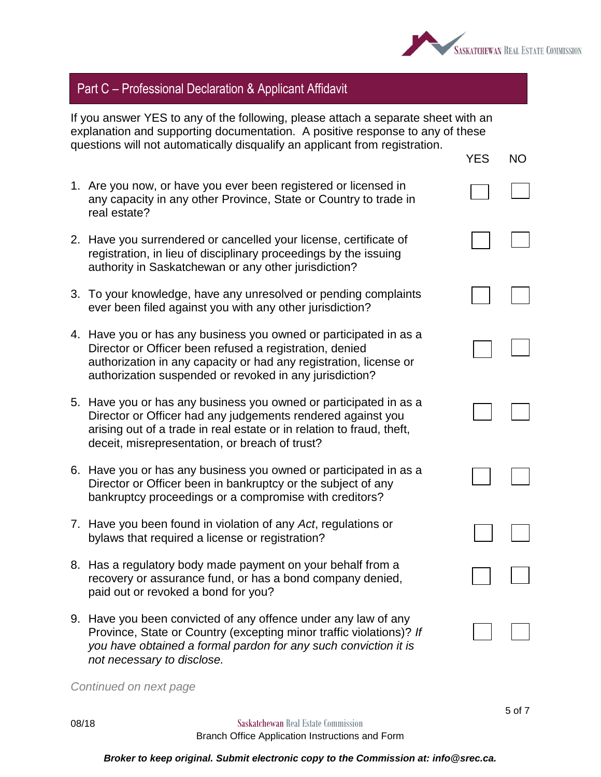

## Part C – Professional Declaration & Applicant Affidavit

If you answer YES to any of the following, please attach a separate sheet with an explanation and supporting documentation. A positive response to any of these questions will not automatically disqualify an applicant from registration. YES NO

| 1. Are you now, or have you ever been registered or licensed in<br>any capacity in any other Province, State or Country to trade in<br>real estate?                                                                                                          |  |
|--------------------------------------------------------------------------------------------------------------------------------------------------------------------------------------------------------------------------------------------------------------|--|
| 2. Have you surrendered or cancelled your license, certificate of<br>registration, in lieu of disciplinary proceedings by the issuing<br>authority in Saskatchewan or any other jurisdiction?                                                                |  |
| 3. To your knowledge, have any unresolved or pending complaints<br>ever been filed against you with any other jurisdiction?                                                                                                                                  |  |
| 4. Have you or has any business you owned or participated in as a<br>Director or Officer been refused a registration, denied<br>authorization in any capacity or had any registration, license or<br>authorization suspended or revoked in any jurisdiction? |  |
| 5. Have you or has any business you owned or participated in as a<br>Director or Officer had any judgements rendered against you<br>arising out of a trade in real estate or in relation to fraud, theft,<br>deceit, misrepresentation, or breach of trust?  |  |
| 6. Have you or has any business you owned or participated in as a<br>Director or Officer been in bankruptcy or the subject of any<br>bankruptcy proceedings or a compromise with creditors?                                                                  |  |
| 7. Have you been found in violation of any Act, regulations or<br>bylaws that required a license or registration?                                                                                                                                            |  |
| 8. Has a regulatory body made payment on your behalf from a<br>recovery or assurance fund, or has a bond company denied,<br>paid out or revoked a bond for you?                                                                                              |  |
| 9. Have you been convicted of any offence under any law of any<br>Province, State or Country (excepting minor traffic violations)? If<br>you have obtained a formal pardon for any such conviction it is<br>not necessary to disclose.                       |  |

*Continued on next page*

*Broker to keep original. Submit electronic copy to the Commission at: info@srec.ca.*